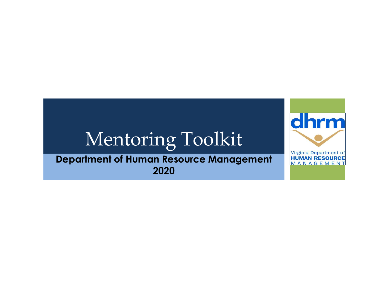# Mentoring Toolkit

**Department of Human Resource Management MANAGEMENT** 2020

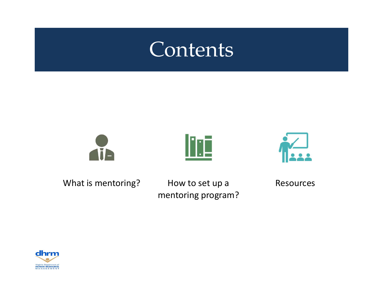## Contents







What is mentoring? How to set up a

mentoring program?

Resources

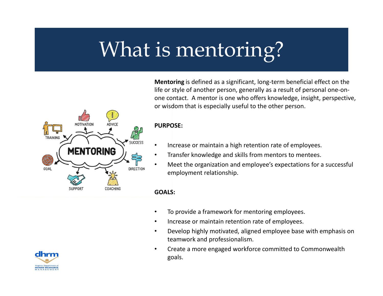# What is mentoring?

Mentoring is defined as a significant, long-term beneficial effect on the life or style of another person, generally as a result of personal one-onone contact. A mentor is one who offers knowledge, insight, perspective, or wisdom that is especially useful to the other person.

#### PURPOSE:

**ADVICE** 

COACHING

**MENTORING** 

SUPPOR<sup>®</sup>

**SUCCESS** 

**DIRECTION** 

- Increase or maintain a high retention rate of employees.
- Transfer knowledge and skills from mentors to mentees.
- Meet the organization and employee's expectations for a successful employment relationship.

#### GOALS:

- To provide a framework for mentoring employees.
- Increase or maintain retention rate of employees.
- Develop highly motivated, aligned employee base with emphasis on teamwork and professionalism.
- Create a more engaged workforce committed to Commonwealth goals.



**TRAIN** 

GOAL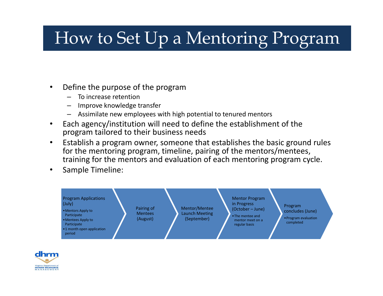### How to Set Up a Mentoring Program

- Define the purpose of the program
	- To increase retention
	- Improve knowledge transfer
	- Assimilate new employees with high potential to tenured mentors
- Each agency/institution will need to define the establishment of the program tailored to their business needs
- Establish a program owner, someone that establishes the basic ground rules for the mentoring program, timeline, pairing of the mentors/mentees, training for the mentors and evaluation of each mentoring program cycle.
- Sample Timeline: